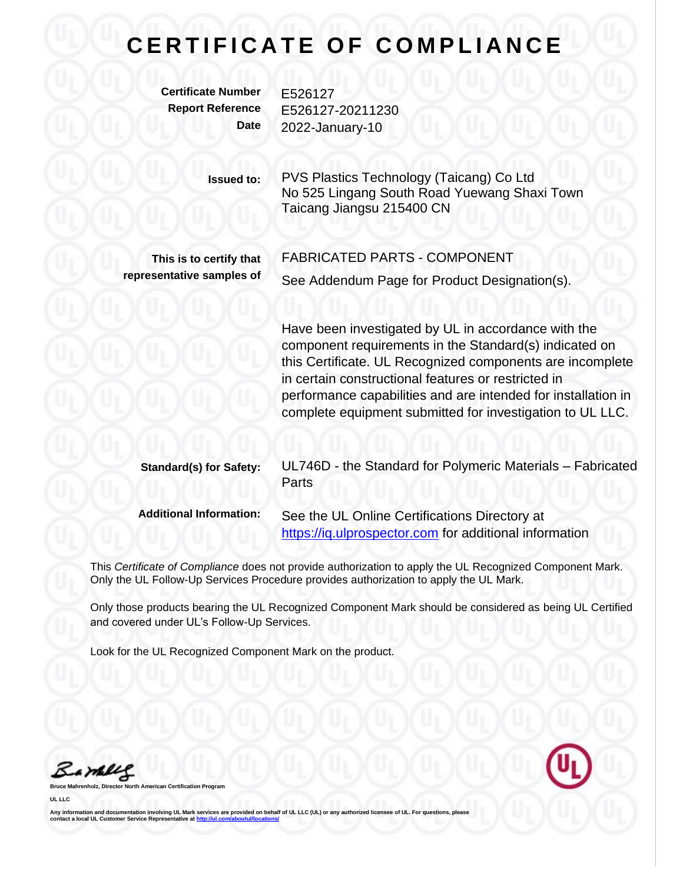## **CERTIFICATE OF COMPLIANCE**

**Certificate Number** E526127

**Report Reference** E526127-20211230 **Date** 2022-January-10

> **Issued to:** PVS Plastics Technology (Taicang) Co Ltd No 525 Lingang South Road Yuewang Shaxi Town Taicang Jiangsu 215400 CN

**This is to certify that representative samples of** FABRICATED PARTS - COMPONENT

See Addendum Page for Product Designation(s).

Have been investigated by UL in accordance with the component requirements in the Standard(s) indicated on this Certificate. UL Recognized components are incomplete in certain constructional features or restricted in performance capabilities and are intended for installation in complete equipment submitted for investigation to UL LLC.

| <b>Standard(s) for Safety:</b> | UL746D - the Standard for Polymeric Materials - Fabricated<br>Parts |
|--------------------------------|---------------------------------------------------------------------|
| <b>Additional Information:</b> | See the UL Online Certifications Directory at                       |

[https://iq.ulprospector.com](https://iq.ulprospector.com/) for additional information

This *Certificate of Compliance* does not provide authorization to apply the UL Recognized Component Mark. Only the UL Follow-Up Services Procedure provides authorization to apply the UL Mark.

Only those products bearing the UL Recognized Component Mark should be considered as being UL Certified and covered under UL's Follow-Up Services.

Look for the UL Recognized Component Mark on the product.

Bamblel

**Bruce Mahrenholz, Director North American Certification Program**

**UL LLC**

Any information and documentation involving UL Mark services are provided on behalf of UL LLC (UL) or any authorized licensee of UL. For questions, please<br>contact a local UL Customer Service Representative at <u>http://ul.co</u>